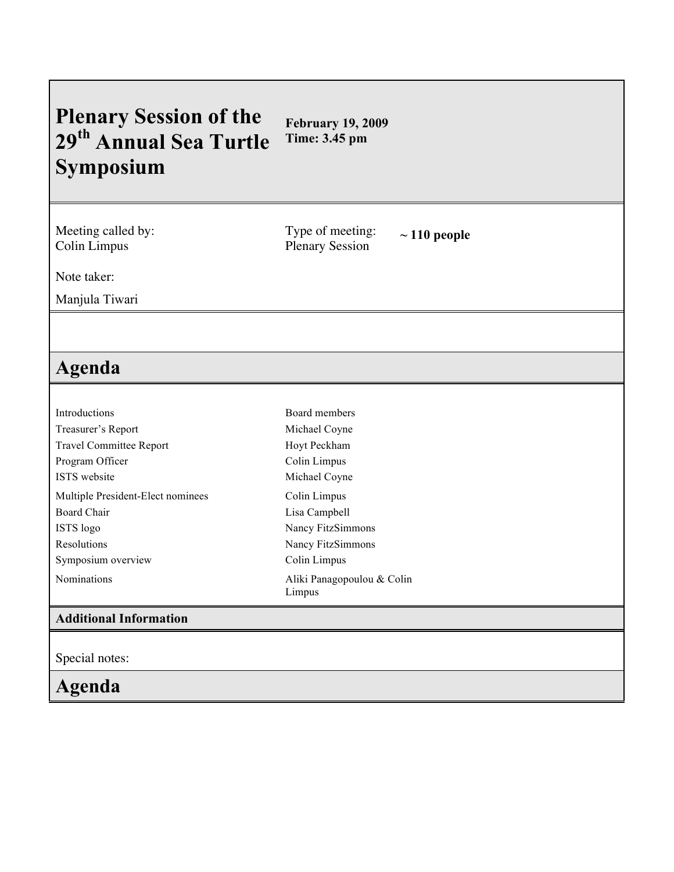#### **Plenary Session of the 29th Annual Sea Turtle Symposium February 19, 2009 Time: 3.45 pm**

Meeting called by: Colin Limpus

Type of meeting: Plenary Session **~ 110 people**

Note taker:

Manjula Tiwari

# **Agenda**

| Introductions                     | Board members                        |
|-----------------------------------|--------------------------------------|
| Treasurer's Report                | Michael Coyne                        |
| <b>Travel Committee Report</b>    | Hoyt Peckham                         |
| Program Officer                   | Colin Limpus                         |
| <b>ISTS</b> website               | Michael Coyne                        |
| Multiple President-Elect nominees | Colin Limpus                         |
| Board Chair                       | Lisa Campbell                        |
| <b>ISTS</b> logo                  | Nancy FitzSimmons                    |
| Resolutions                       | Nancy FitzSimmons                    |
| Symposium overview                | Colin Limpus                         |
| <b>Nominations</b>                | Aliki Panagopoulou & Colin<br>Limpus |
|                                   |                                      |

## **Additional Information**

### Special notes:

# **Agenda**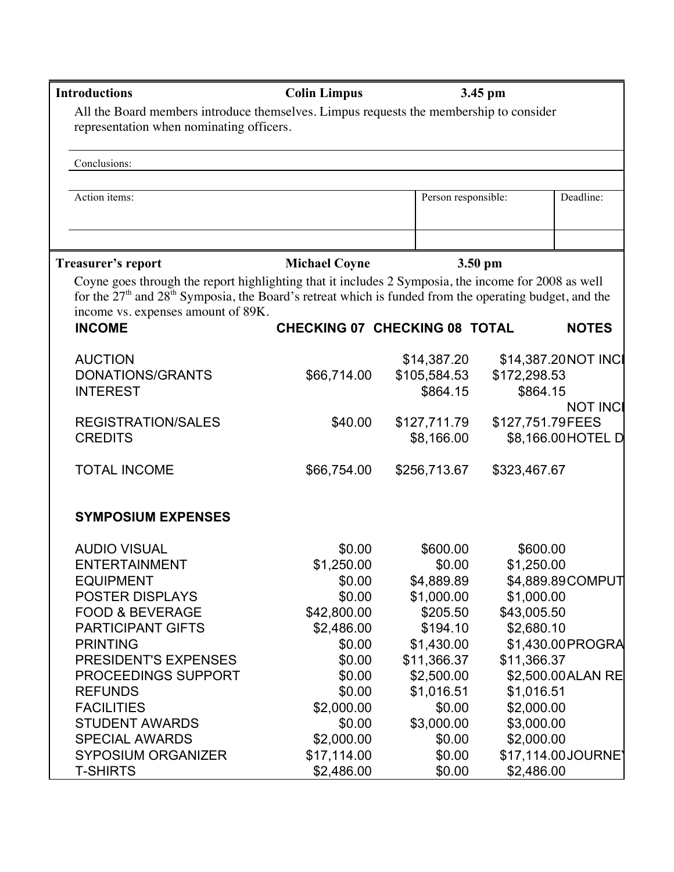| <b>Introductions</b>                                                                                                                                                                                                                                                                           | <b>Colin Limpus</b>                                          |                                                   | 3.45 pm                                                            |
|------------------------------------------------------------------------------------------------------------------------------------------------------------------------------------------------------------------------------------------------------------------------------------------------|--------------------------------------------------------------|---------------------------------------------------|--------------------------------------------------------------------|
| All the Board members introduce themselves. Limpus requests the membership to consider<br>representation when nominating officers.                                                                                                                                                             |                                                              |                                                   |                                                                    |
| Conclusions:                                                                                                                                                                                                                                                                                   |                                                              |                                                   |                                                                    |
| Action items:                                                                                                                                                                                                                                                                                  |                                                              | Person responsible:                               | Deadline:                                                          |
|                                                                                                                                                                                                                                                                                                |                                                              |                                                   |                                                                    |
| Treasurer's report<br>Coyne goes through the report highlighting that it includes 2 Symposia, the income for 2008 as well<br>for the $27th$ and $28th$ Symposia, the Board's retreat which is funded from the operating budget, and the<br>income vs. expenses amount of 89K.<br><b>INCOME</b> | <b>Michael Coyne</b><br><b>CHECKING 07 CHECKING 08 TOTAL</b> |                                                   | 3.50 pm<br><b>NOTES</b>                                            |
| <b>AUCTION</b><br>DONATIONS/GRANTS<br><b>INTEREST</b>                                                                                                                                                                                                                                          | \$66,714.00                                                  | \$14,387.20<br>\$105,584.53<br>\$864.15           | \$14,387.20NOT INCI<br>\$172,298.53<br>\$864.15<br><b>NOT INCI</b> |
| <b>REGISTRATION/SALES</b><br><b>CREDITS</b>                                                                                                                                                                                                                                                    | \$40.00                                                      | \$127,711.79<br>\$8,166.00                        | \$127,751.79FEES<br>\$8,166.00HOTEL D                              |
| <b>TOTAL INCOME</b>                                                                                                                                                                                                                                                                            | \$66,754.00                                                  | \$256,713.67                                      | \$323,467.67                                                       |
| <b>SYMPOSIUM EXPENSES</b>                                                                                                                                                                                                                                                                      |                                                              |                                                   |                                                                    |
| <b>AUDIO VISUAL</b><br><b>ENTERTAINMENT</b><br><b>EQUIPMENT</b><br><b>POSTER DISPLAYS</b>                                                                                                                                                                                                      | \$0.00<br>\$1,250.00<br>\$0.00<br>\$0.00                     | \$600.00<br>\$0.00<br>\$4,889.89<br>\$1,000.00    | \$600.00<br>\$1,250.00<br>\$4,889.89 COMPUT<br>\$1,000.00          |
| <b>FOOD &amp; BEVERAGE</b><br><b>PARTICIPANT GIFTS</b><br><b>PRINTING</b><br>PRESIDENT'S EXPENSES                                                                                                                                                                                              | \$42,800.00<br>\$2,486.00<br>\$0.00<br>\$0.00                | \$205.50<br>\$194.10<br>\$1,430.00<br>\$11,366.37 | \$43,005.50<br>\$2,680.10<br>\$1,430.00 PROGRA<br>\$11,366.37      |
| PROCEEDINGS SUPPORT<br><b>REFUNDS</b><br><b>FACILITIES</b>                                                                                                                                                                                                                                     | \$0.00<br>\$0.00<br>\$2,000.00                               | \$2,500.00<br>\$1,016.51<br>\$0.00                | \$2,500.00 ALAN RE<br>\$1,016.51<br>\$2,000.00                     |
| <b>STUDENT AWARDS</b><br><b>SPECIAL AWARDS</b><br><b>SYPOSIUM ORGANIZER</b><br><b>T-SHIRTS</b>                                                                                                                                                                                                 | \$0.00<br>\$2,000.00<br>\$17,114.00<br>\$2,486.00            | \$3,000.00<br>\$0.00<br>\$0.00<br>\$0.00          | \$3,000.00<br>\$2,000.00<br>\$17,114.00JOURNE)<br>\$2,486.00       |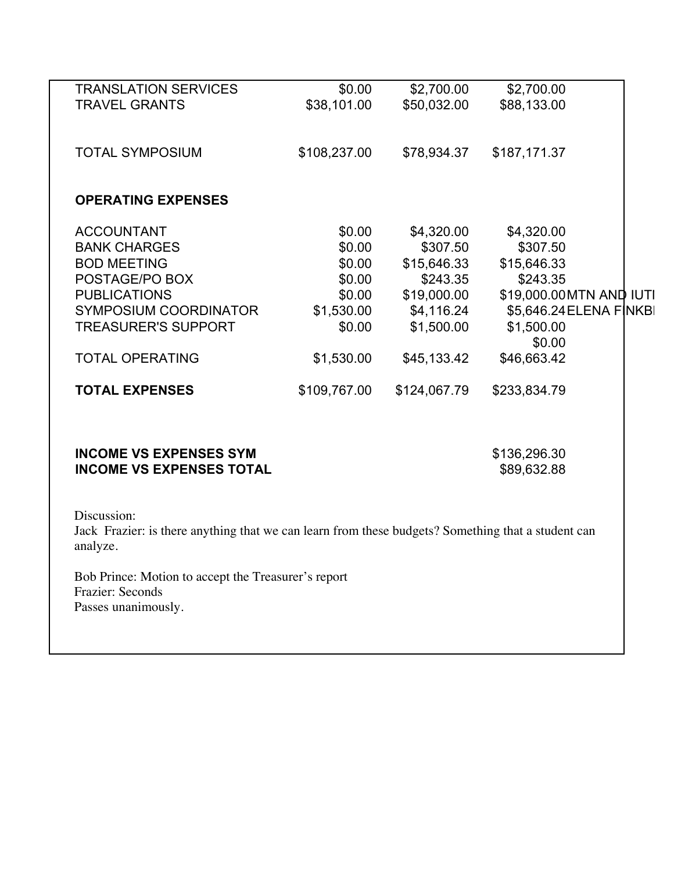| <b>TRANSLATION SERVICES</b>                                                                                       | \$0.00       | \$2,700.00   | \$2,700.00               |  |
|-------------------------------------------------------------------------------------------------------------------|--------------|--------------|--------------------------|--|
| <b>TRAVEL GRANTS</b>                                                                                              | \$38,101.00  | \$50,032.00  | \$88,133.00              |  |
|                                                                                                                   |              |              |                          |  |
| <b>TOTAL SYMPOSIUM</b>                                                                                            | \$108,237.00 | \$78,934.37  | \$187,171.37             |  |
|                                                                                                                   |              |              |                          |  |
| <b>OPERATING EXPENSES</b>                                                                                         |              |              |                          |  |
| <b>ACCOUNTANT</b>                                                                                                 | \$0.00       | \$4,320.00   | \$4,320.00               |  |
| <b>BANK CHARGES</b>                                                                                               | \$0.00       | \$307.50     | \$307.50                 |  |
| <b>BOD MEETING</b>                                                                                                | \$0.00       | \$15,646.33  | \$15,646.33              |  |
| POSTAGE/PO BOX                                                                                                    | \$0.00       | \$243.35     | \$243.35                 |  |
| <b>PUBLICATIONS</b>                                                                                               | \$0.00       | \$19,000.00  | \$19,000.00 MTN AND IUTI |  |
| <b>SYMPOSIUM COORDINATOR</b>                                                                                      | \$1,530.00   | \$4,116.24   | \$5,646.24 ELENA FINKB   |  |
| <b>TREASURER'S SUPPORT</b>                                                                                        | \$0.00       | \$1,500.00   | \$1,500.00<br>\$0.00     |  |
| <b>TOTAL OPERATING</b>                                                                                            | \$1,530.00   | \$45,133.42  | \$46,663.42              |  |
| <b>TOTAL EXPENSES</b>                                                                                             | \$109,767.00 | \$124,067.79 | \$233,834.79             |  |
|                                                                                                                   |              |              |                          |  |
| <b>INCOME VS EXPENSES SYM</b>                                                                                     |              |              | \$136,296.30             |  |
| <b>INCOME VS EXPENSES TOTAL</b>                                                                                   |              |              | \$89,632.88              |  |
|                                                                                                                   |              |              |                          |  |
| Discussion:<br>Jack Frazier: is there anything that we can learn from these budgets? Something that a student can |              |              |                          |  |
| analyze.                                                                                                          |              |              |                          |  |
| Bob Prince: Motion to accept the Treasurer's report                                                               |              |              |                          |  |
| Frazier: Seconds                                                                                                  |              |              |                          |  |
| Passes unanimously.                                                                                               |              |              |                          |  |
|                                                                                                                   |              |              |                          |  |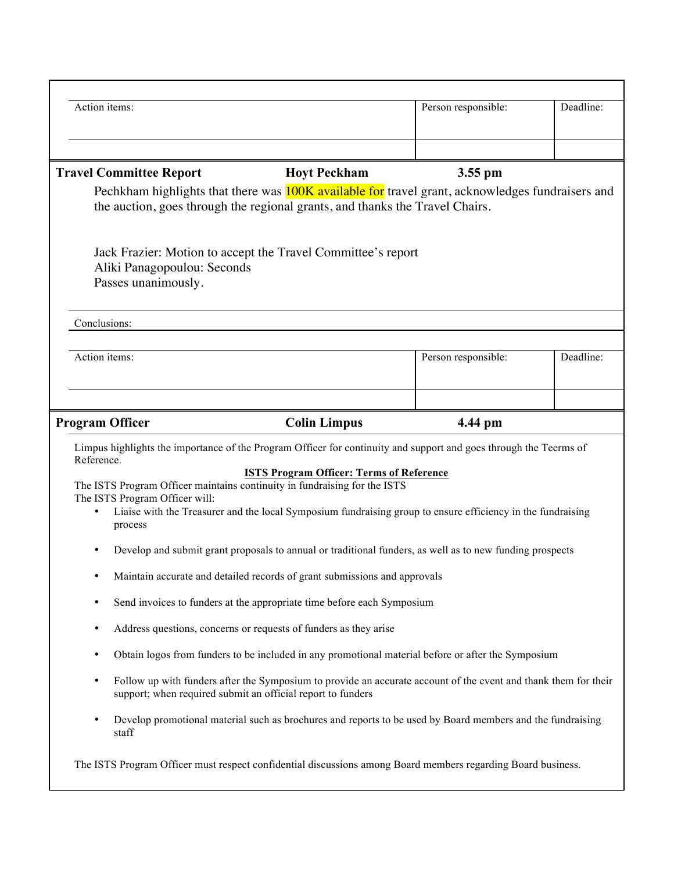| Action items:                                                                                                                                                                           |                                                                                                                                                                                                                                                                                                                                                                  | Person responsible: | Deadline: |  |  |
|-----------------------------------------------------------------------------------------------------------------------------------------------------------------------------------------|------------------------------------------------------------------------------------------------------------------------------------------------------------------------------------------------------------------------------------------------------------------------------------------------------------------------------------------------------------------|---------------------|-----------|--|--|
|                                                                                                                                                                                         |                                                                                                                                                                                                                                                                                                                                                                  |                     |           |  |  |
|                                                                                                                                                                                         |                                                                                                                                                                                                                                                                                                                                                                  |                     |           |  |  |
| <b>Travel Committee Report</b>                                                                                                                                                          | <b>Hoyt Peckham</b>                                                                                                                                                                                                                                                                                                                                              | 3.55 pm             |           |  |  |
| Pechkham highlights that there was <b>100K</b> available for travel grant, acknowledges fundraisers and<br>the auction, goes through the regional grants, and thanks the Travel Chairs. |                                                                                                                                                                                                                                                                                                                                                                  |                     |           |  |  |
| Aliki Panagopoulou: Seconds<br>Passes unanimously.                                                                                                                                      | Jack Frazier: Motion to accept the Travel Committee's report                                                                                                                                                                                                                                                                                                     |                     |           |  |  |
| Conclusions:                                                                                                                                                                            |                                                                                                                                                                                                                                                                                                                                                                  |                     |           |  |  |
| Action items:                                                                                                                                                                           |                                                                                                                                                                                                                                                                                                                                                                  | Person responsible: | Deadline: |  |  |
|                                                                                                                                                                                         |                                                                                                                                                                                                                                                                                                                                                                  |                     |           |  |  |
|                                                                                                                                                                                         |                                                                                                                                                                                                                                                                                                                                                                  |                     |           |  |  |
| <b>Program Officer</b>                                                                                                                                                                  | <b>Colin Limpus</b>                                                                                                                                                                                                                                                                                                                                              | 4.44 pm             |           |  |  |
| Reference.<br>The ISTS Program Officer will:<br>process<br>Develop and submit grant proposals to annual or traditional funders, as well as to new funding prospects                     | Limpus highlights the importance of the Program Officer for continuity and support and goes through the Teerms of<br><b>ISTS Program Officer: Terms of Reference</b><br>The ISTS Program Officer maintains continuity in fundraising for the ISTS<br>Liaise with the Treasurer and the local Symposium fundraising group to ensure efficiency in the fundraising |                     |           |  |  |
|                                                                                                                                                                                         |                                                                                                                                                                                                                                                                                                                                                                  |                     |           |  |  |
| $\bullet$                                                                                                                                                                               | Maintain accurate and detailed records of grant submissions and approvals<br>Send invoices to funders at the appropriate time before each Symposium                                                                                                                                                                                                              |                     |           |  |  |
| ٠                                                                                                                                                                                       | Address questions, concerns or requests of funders as they arise                                                                                                                                                                                                                                                                                                 |                     |           |  |  |
| Obtain logos from funders to be included in any promotional material before or after the Symposium<br>$\bullet$                                                                         |                                                                                                                                                                                                                                                                                                                                                                  |                     |           |  |  |
| ٠                                                                                                                                                                                       | Follow up with funders after the Symposium to provide an accurate account of the event and thank them for their<br>support; when required submit an official report to funders                                                                                                                                                                                   |                     |           |  |  |
| Develop promotional material such as brochures and reports to be used by Board members and the fundraising<br>$\bullet$<br>staff                                                        |                                                                                                                                                                                                                                                                                                                                                                  |                     |           |  |  |
|                                                                                                                                                                                         | The ISTS Program Officer must respect confidential discussions among Board members regarding Board business.                                                                                                                                                                                                                                                     |                     |           |  |  |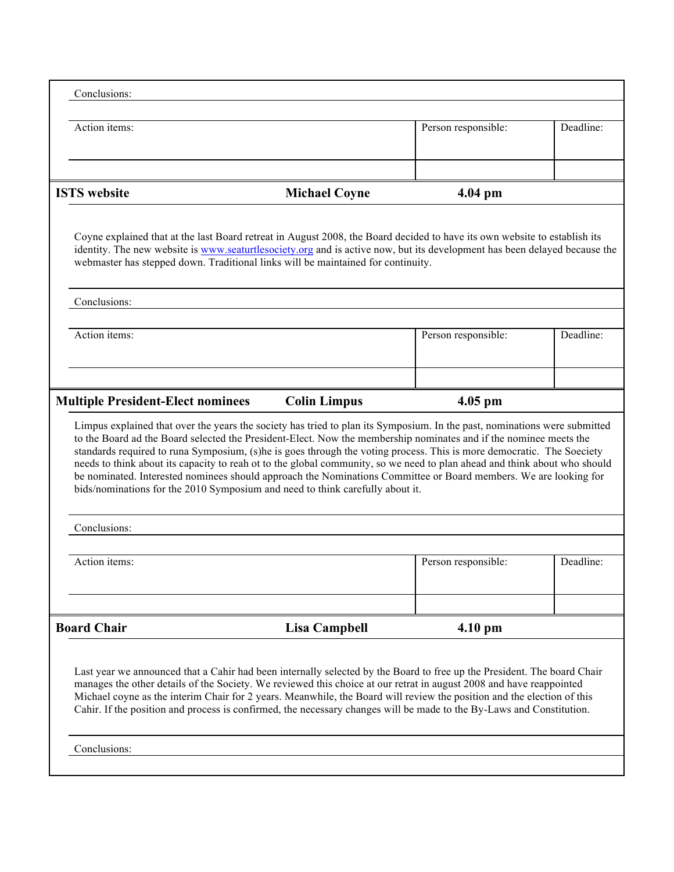| Conclusions:                                                                                                                                                                                                                                                                                                                                                                                                                                                                                     |                                                                                                                                                                                                                                                                                                                                                                                                                                                                                                                                                                                                                                                                                                           |                     |           |  |
|--------------------------------------------------------------------------------------------------------------------------------------------------------------------------------------------------------------------------------------------------------------------------------------------------------------------------------------------------------------------------------------------------------------------------------------------------------------------------------------------------|-----------------------------------------------------------------------------------------------------------------------------------------------------------------------------------------------------------------------------------------------------------------------------------------------------------------------------------------------------------------------------------------------------------------------------------------------------------------------------------------------------------------------------------------------------------------------------------------------------------------------------------------------------------------------------------------------------------|---------------------|-----------|--|
| Action items:                                                                                                                                                                                                                                                                                                                                                                                                                                                                                    |                                                                                                                                                                                                                                                                                                                                                                                                                                                                                                                                                                                                                                                                                                           | Person responsible: | Deadline: |  |
|                                                                                                                                                                                                                                                                                                                                                                                                                                                                                                  |                                                                                                                                                                                                                                                                                                                                                                                                                                                                                                                                                                                                                                                                                                           |                     |           |  |
| <b>ISTS</b> website                                                                                                                                                                                                                                                                                                                                                                                                                                                                              | <b>Michael Coyne</b>                                                                                                                                                                                                                                                                                                                                                                                                                                                                                                                                                                                                                                                                                      | $4.04$ pm           |           |  |
|                                                                                                                                                                                                                                                                                                                                                                                                                                                                                                  | Coyne explained that at the last Board retreat in August 2008, the Board decided to have its own website to establish its<br>identity. The new website is www.seaturtlesociety.org and is active now, but its development has been delayed because the<br>webmaster has stepped down. Traditional links will be maintained for continuity.                                                                                                                                                                                                                                                                                                                                                                |                     |           |  |
| Conclusions:                                                                                                                                                                                                                                                                                                                                                                                                                                                                                     |                                                                                                                                                                                                                                                                                                                                                                                                                                                                                                                                                                                                                                                                                                           |                     |           |  |
| Action items:                                                                                                                                                                                                                                                                                                                                                                                                                                                                                    |                                                                                                                                                                                                                                                                                                                                                                                                                                                                                                                                                                                                                                                                                                           | Person responsible: | Deadline: |  |
|                                                                                                                                                                                                                                                                                                                                                                                                                                                                                                  |                                                                                                                                                                                                                                                                                                                                                                                                                                                                                                                                                                                                                                                                                                           |                     |           |  |
| <b>Multiple President-Elect nominees</b>                                                                                                                                                                                                                                                                                                                                                                                                                                                         | <b>Colin Limpus</b>                                                                                                                                                                                                                                                                                                                                                                                                                                                                                                                                                                                                                                                                                       | $4.05$ pm           |           |  |
|                                                                                                                                                                                                                                                                                                                                                                                                                                                                                                  | Limpus explained that over the years the society has tried to plan its Symposium. In the past, nominations were submitted<br>to the Board ad the Board selected the President-Elect. Now the membership nominates and if the nominee meets the<br>standards required to runa Symposium, (s)he is goes through the voting process. This is more democratic. The Soeciety<br>needs to think about its capacity to reah ot to the global community, so we need to plan ahead and think about who should<br>be nominated. Interested nominees should approach the Nominations Committee or Board members. We are looking for<br>bids/nominations for the 2010 Symposium and need to think carefully about it. |                     |           |  |
| Conclusions:                                                                                                                                                                                                                                                                                                                                                                                                                                                                                     |                                                                                                                                                                                                                                                                                                                                                                                                                                                                                                                                                                                                                                                                                                           |                     |           |  |
| Action items:                                                                                                                                                                                                                                                                                                                                                                                                                                                                                    |                                                                                                                                                                                                                                                                                                                                                                                                                                                                                                                                                                                                                                                                                                           | Person responsible: | Deadline: |  |
|                                                                                                                                                                                                                                                                                                                                                                                                                                                                                                  |                                                                                                                                                                                                                                                                                                                                                                                                                                                                                                                                                                                                                                                                                                           |                     |           |  |
| <b>Board Chair</b>                                                                                                                                                                                                                                                                                                                                                                                                                                                                               | Lisa Campbell                                                                                                                                                                                                                                                                                                                                                                                                                                                                                                                                                                                                                                                                                             | $4.10 \text{ pm}$   |           |  |
| Last year we announced that a Cahir had been internally selected by the Board to free up the President. The board Chair<br>manages the other details of the Society. We reviewed this choice at our retrat in august 2008 and have reappointed<br>Michael coyne as the interim Chair for 2 years. Meanwhile, the Board will review the position and the election of this<br>Cahir. If the position and process is confirmed, the necessary changes will be made to the By-Laws and Constitution. |                                                                                                                                                                                                                                                                                                                                                                                                                                                                                                                                                                                                                                                                                                           |                     |           |  |
| Conclusions:                                                                                                                                                                                                                                                                                                                                                                                                                                                                                     |                                                                                                                                                                                                                                                                                                                                                                                                                                                                                                                                                                                                                                                                                                           |                     |           |  |
|                                                                                                                                                                                                                                                                                                                                                                                                                                                                                                  |                                                                                                                                                                                                                                                                                                                                                                                                                                                                                                                                                                                                                                                                                                           |                     |           |  |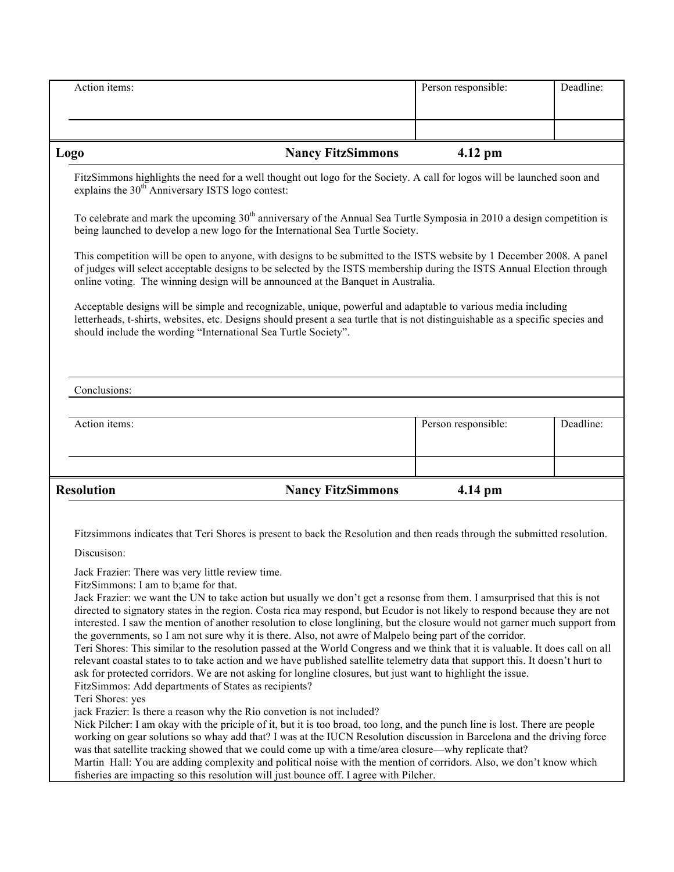| Action items:                                                                                                                                                                                                                                                                                                                                                                                                                                                                                                                                                                                                                                                                                                                                                                                                                                                                                                                                                                                                                                                                                                                             |                                                                                                                                                                                                                                                                                                                                     | Person responsible: | Deadline: |  |  |
|-------------------------------------------------------------------------------------------------------------------------------------------------------------------------------------------------------------------------------------------------------------------------------------------------------------------------------------------------------------------------------------------------------------------------------------------------------------------------------------------------------------------------------------------------------------------------------------------------------------------------------------------------------------------------------------------------------------------------------------------------------------------------------------------------------------------------------------------------------------------------------------------------------------------------------------------------------------------------------------------------------------------------------------------------------------------------------------------------------------------------------------------|-------------------------------------------------------------------------------------------------------------------------------------------------------------------------------------------------------------------------------------------------------------------------------------------------------------------------------------|---------------------|-----------|--|--|
| <b>Logo</b>                                                                                                                                                                                                                                                                                                                                                                                                                                                                                                                                                                                                                                                                                                                                                                                                                                                                                                                                                                                                                                                                                                                               | <b>Nancy FitzSimmons</b>                                                                                                                                                                                                                                                                                                            | 4.12 pm             |           |  |  |
|                                                                                                                                                                                                                                                                                                                                                                                                                                                                                                                                                                                                                                                                                                                                                                                                                                                                                                                                                                                                                                                                                                                                           | FitzSimmons highlights the need for a well thought out logo for the Society. A call for logos will be launched soon and<br>explains the 30 <sup>th</sup> Anniversary ISTS logo contest:                                                                                                                                             |                     |           |  |  |
|                                                                                                                                                                                                                                                                                                                                                                                                                                                                                                                                                                                                                                                                                                                                                                                                                                                                                                                                                                                                                                                                                                                                           | To celebrate and mark the upcoming $30th$ anniversary of the Annual Sea Turtle Symposia in 2010 a design competition is<br>being launched to develop a new logo for the International Sea Turtle Society.                                                                                                                           |                     |           |  |  |
|                                                                                                                                                                                                                                                                                                                                                                                                                                                                                                                                                                                                                                                                                                                                                                                                                                                                                                                                                                                                                                                                                                                                           | This competition will be open to anyone, with designs to be submitted to the ISTS website by 1 December 2008. A panel<br>of judges will select acceptable designs to be selected by the ISTS membership during the ISTS Annual Election through<br>online voting. The winning design will be announced at the Banquet in Australia. |                     |           |  |  |
|                                                                                                                                                                                                                                                                                                                                                                                                                                                                                                                                                                                                                                                                                                                                                                                                                                                                                                                                                                                                                                                                                                                                           | Acceptable designs will be simple and recognizable, unique, powerful and adaptable to various media including<br>letterheads, t-shirts, websites, etc. Designs should present a sea turtle that is not distinguishable as a specific species and<br>should include the wording "International Sea Turtle Society".                  |                     |           |  |  |
| Conclusions:                                                                                                                                                                                                                                                                                                                                                                                                                                                                                                                                                                                                                                                                                                                                                                                                                                                                                                                                                                                                                                                                                                                              |                                                                                                                                                                                                                                                                                                                                     |                     |           |  |  |
| Action items:                                                                                                                                                                                                                                                                                                                                                                                                                                                                                                                                                                                                                                                                                                                                                                                                                                                                                                                                                                                                                                                                                                                             |                                                                                                                                                                                                                                                                                                                                     | Person responsible: | Deadline: |  |  |
| <b>Resolution</b>                                                                                                                                                                                                                                                                                                                                                                                                                                                                                                                                                                                                                                                                                                                                                                                                                                                                                                                                                                                                                                                                                                                         | <b>Nancy FitzSimmons</b>                                                                                                                                                                                                                                                                                                            | 4.14 pm             |           |  |  |
| Discusison:                                                                                                                                                                                                                                                                                                                                                                                                                                                                                                                                                                                                                                                                                                                                                                                                                                                                                                                                                                                                                                                                                                                               | Fitzsimmons indicates that Teri Shores is present to back the Resolution and then reads through the submitted resolution.                                                                                                                                                                                                           |                     |           |  |  |
| Jack Frazier: There was very little review time.<br>FitzSimmons: I am to b; ame for that.<br>Jack Frazier: we want the UN to take action but usually we don't get a resonse from them. I amsurprised that this is not<br>directed to signatory states in the region. Costa rica may respond, but Ecudor is not likely to respond because they are not<br>interested. I saw the mention of another resolution to close longlining, but the closure would not garner much support from<br>the governments, so I am not sure why it is there. Also, not awre of Malpelo being part of the corridor.<br>Teri Shores: This similar to the resolution passed at the World Congress and we think that it is valuable. It does call on all<br>relevant coastal states to to take action and we have published satellite telemetry data that support this. It doesn't hurt to<br>ask for protected corridors. We are not asking for longline closures, but just want to highlight the issue.<br>FitzSimmos: Add departments of States as recipients?<br>Teri Shores: yes<br>jack Frazier: Is there a reason why the Rio convetion is not included? |                                                                                                                                                                                                                                                                                                                                     |                     |           |  |  |
| Nick Pilcher: I am okay with the priciple of it, but it is too broad, too long, and the punch line is lost. There are people<br>working on gear solutions so whay add that? I was at the IUCN Resolution discussion in Barcelona and the driving force<br>was that satellite tracking showed that we could come up with a time/area closure—why replicate that?<br>Martin Hall: You are adding complexity and political noise with the mention of corridors. Also, we don't know which<br>fisheries are impacting so this resolution will just bounce off. I agree with Pilcher.                                                                                                                                                                                                                                                                                                                                                                                                                                                                                                                                                          |                                                                                                                                                                                                                                                                                                                                     |                     |           |  |  |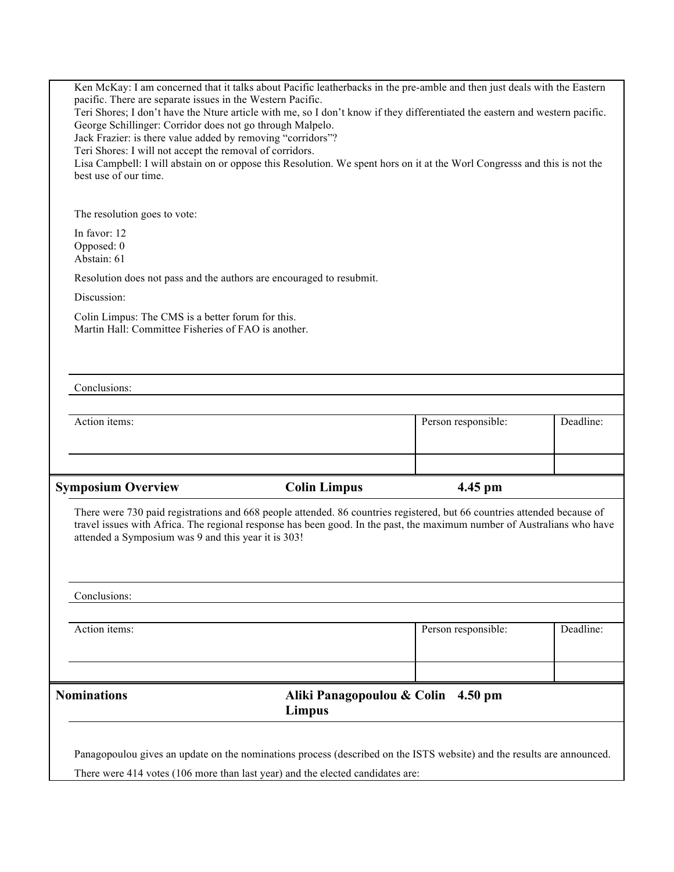| Ken McKay: I am concerned that it talks about Pacific leatherbacks in the pre-amble and then just deals with the Eastern<br>pacific. There are separate issues in the Western Pacific.<br>Teri Shores; I don't have the Nture article with me, so I don't know if they differentiated the eastern and western pacific.<br>George Schillinger: Corridor does not go through Malpelo.<br>Jack Frazier: is there value added by removing "corridors"?<br>Teri Shores: I will not accept the removal of corridors.<br>Lisa Campbell: I will abstain on or oppose this Resolution. We spent hors on it at the Worl Congresss and this is not the<br>best use of our time. |                                              |                     |           |
|----------------------------------------------------------------------------------------------------------------------------------------------------------------------------------------------------------------------------------------------------------------------------------------------------------------------------------------------------------------------------------------------------------------------------------------------------------------------------------------------------------------------------------------------------------------------------------------------------------------------------------------------------------------------|----------------------------------------------|---------------------|-----------|
| The resolution goes to vote:                                                                                                                                                                                                                                                                                                                                                                                                                                                                                                                                                                                                                                         |                                              |                     |           |
| In favor: 12<br>Opposed: 0<br>Abstain: 61                                                                                                                                                                                                                                                                                                                                                                                                                                                                                                                                                                                                                            |                                              |                     |           |
| Resolution does not pass and the authors are encouraged to resubmit.                                                                                                                                                                                                                                                                                                                                                                                                                                                                                                                                                                                                 |                                              |                     |           |
| Discussion:                                                                                                                                                                                                                                                                                                                                                                                                                                                                                                                                                                                                                                                          |                                              |                     |           |
| Colin Limpus: The CMS is a better forum for this.<br>Martin Hall: Committee Fisheries of FAO is another.                                                                                                                                                                                                                                                                                                                                                                                                                                                                                                                                                             |                                              |                     |           |
| Conclusions:                                                                                                                                                                                                                                                                                                                                                                                                                                                                                                                                                                                                                                                         |                                              |                     |           |
| Action items:                                                                                                                                                                                                                                                                                                                                                                                                                                                                                                                                                                                                                                                        |                                              | Person responsible: | Deadline: |
| <b>Symposium Overview</b>                                                                                                                                                                                                                                                                                                                                                                                                                                                                                                                                                                                                                                            | <b>Colin Limpus</b>                          | 4.45 pm             |           |
| There were 730 paid registrations and 668 people attended. 86 countries registered, but 66 countries attended because of<br>travel issues with Africa. The regional response has been good. In the past, the maximum number of Australians who have<br>attended a Symposium was 9 and this year it is 303!                                                                                                                                                                                                                                                                                                                                                           |                                              |                     |           |
| Conclusions:                                                                                                                                                                                                                                                                                                                                                                                                                                                                                                                                                                                                                                                         |                                              |                     |           |
| Action items:                                                                                                                                                                                                                                                                                                                                                                                                                                                                                                                                                                                                                                                        |                                              | Person responsible: | Deadline: |
| <b>Nominations</b>                                                                                                                                                                                                                                                                                                                                                                                                                                                                                                                                                                                                                                                   | Aliki Panagopoulou & Colin 4.50 pm<br>Limpus |                     |           |
| Panagopoulou gives an update on the nominations process (described on the ISTS website) and the results are announced.<br>There were 414 votes (106 more than last year) and the elected candidates are:                                                                                                                                                                                                                                                                                                                                                                                                                                                             |                                              |                     |           |